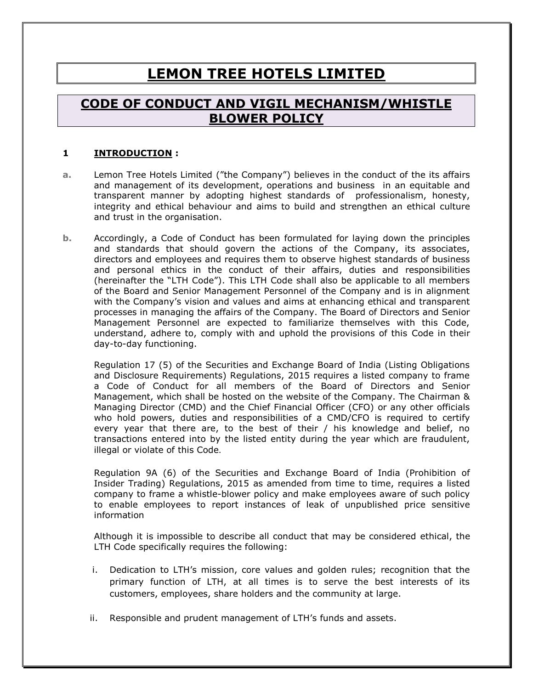# **LEMON TREE HOTELS LIMITED**

# **CODE OF CONDUCT AND VIGIL MECHANISM/WHISTLE BLOWER POLICY**

#### **1 INTRODUCTION :**

- **a.** Lemon Tree Hotels Limited ("the Company") believes in the conduct of the its affairs and management of its development, operations and business in an equitable and transparent manner by adopting highest standards of professionalism, honesty, integrity and ethical behaviour and aims to build and strengthen an ethical culture and trust in the organisation.
- **b.** Accordingly, a Code of Conduct has been formulated for laying down the principles and standards that should govern the actions of the Company, its associates, directors and employees and requires them to observe highest standards of business and personal ethics in the conduct of their affairs, duties and responsibilities (hereinafter the "LTH Code"). This LTH Code shall also be applicable to all members of the Board and Senior Management Personnel of the Company and is in alignment with the Company's vision and values and aims at enhancing ethical and transparent processes in managing the affairs of the Company. The Board of Directors and Senior Management Personnel are expected to familiarize themselves with this Code, understand, adhere to, comply with and uphold the provisions of this Code in their day-to-day functioning.

Regulation 17 (5) of the Securities and Exchange Board of India (Listing Obligations and Disclosure Requirements) Regulations, 2015 requires a listed company to frame a Code of Conduct for all members of the Board of Directors and Senior Management, which shall be hosted on the website of the Company. The Chairman & Managing Director (CMD) and the Chief Financial Officer (CFO) or any other officials who hold powers, duties and responsibilities of a CMD/CFO is required to certify every year that there are, to the best of their / his knowledge and belief, no transactions entered into by the listed entity during the year which are fraudulent, illegal or violate of this Code.

Regulation 9A (6) of the Securities and Exchange Board of India (Prohibition of Insider Trading) Regulations, 2015 as amended from time to time, requires a listed company to frame a whistle-blower policy and make employees aware of such policy to enable employees to report instances of leak of unpublished price sensitive information

Although it is impossible to describe all conduct that may be considered ethical, the LTH Code specifically requires the following:

- i. Dedication to LTH's mission, core values and golden rules; recognition that the primary function of LTH, at all times is to serve the best interests of its customers, employees, share holders and the community at large.
- ii. Responsible and prudent management of LTH's funds and assets.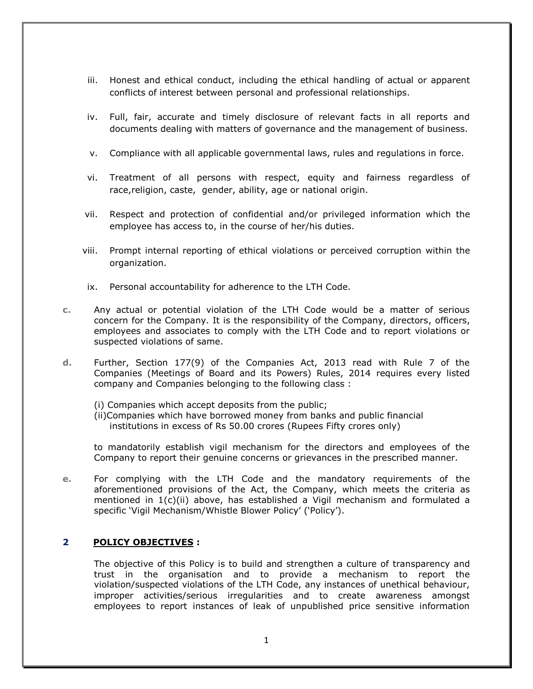- iii. Honest and ethical conduct, including the ethical handling of actual or apparent conflicts of interest between personal and professional relationships.
- iv. Full, fair, accurate and timely disclosure of relevant facts in all reports and documents dealing with matters of governance and the management of business.
- v. Compliance with all applicable governmental laws, rules and regulations in force.
- vi. Treatment of all persons with respect, equity and fairness regardless of race,religion, caste, gender, ability, age or national origin.
- vii. Respect and protection of confidential and/or privileged information which the employee has access to, in the course of her/his duties.
- viii. Prompt internal reporting of ethical violations or perceived corruption within the organization.
- ix. Personal accountability for adherence to the LTH Code.
- **c.** Any actual or potential violation of the LTH Code would be a matter of serious concern for the Company. It is the responsibility of the Company, directors, officers, employees and associates to comply with the LTH Code and to report violations or suspected violations of same.
- **d.** Further, Section 177(9) of the Companies Act, 2013 read with Rule 7 of the Companies (Meetings of Board and its Powers) Rules, 2014 requires every listed company and Companies belonging to the following class :
	- (i) Companies which accept deposits from the public;
	- (ii)Companies which have borrowed money from banks and public financial institutions in excess of Rs 50.00 crores (Rupees Fifty crores only)

to mandatorily establish vigil mechanism for the directors and employees of the Company to report their genuine concerns or grievances in the prescribed manner.

**e.** For complying with the LTH Code and the mandatory requirements of the aforementioned provisions of the Act, the Company, which meets the criteria as mentioned in 1(c)(ii) above, has established a Vigil mechanism and formulated a specific 'Vigil Mechanism/Whistle Blower Policy' ('Policy').

# **2 POLICY OBJECTIVES :**

The objective of this Policy is to build and strengthen a culture of transparency and trust in the organisation and to provide a mechanism to report the violation/suspected violations of the LTH Code, any instances of unethical behaviour, improper activities/serious irregularities and to create awareness amongst employees to report instances of leak of unpublished price sensitive information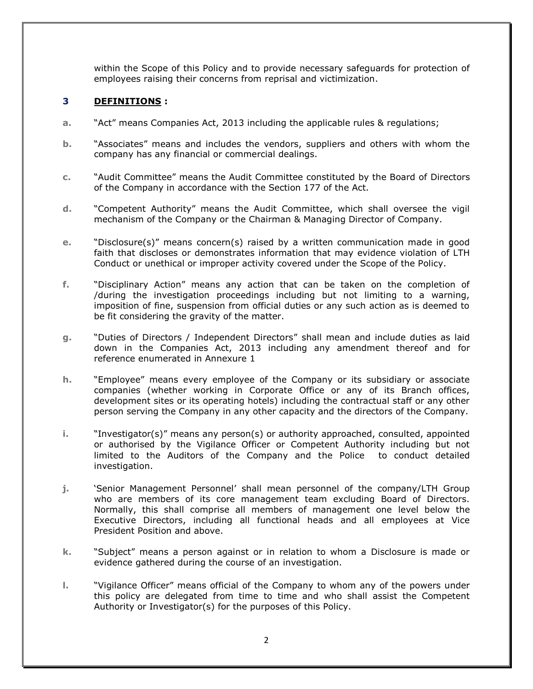within the Scope of this Policy and to provide necessary safeguards for protection of employees raising their concerns from reprisal and victimization.

# **3 DEFINITIONS :**

- **a.** "Act" means Companies Act, 2013 including the applicable rules & regulations;
- **b.** "Associates" means and includes the vendors, suppliers and others with whom the company has any financial or commercial dealings.
- **c.** "Audit Committee" means the Audit Committee constituted by the Board of Directors of the Company in accordance with the Section 177 of the Act.
- **d.** "Competent Authority" means the Audit Committee, which shall oversee the vigil mechanism of the Company or the Chairman & Managing Director of Company.
- **e.** "Disclosure(s)" means concern(s) raised by a written communication made in good faith that discloses or demonstrates information that may evidence violation of LTH Conduct or unethical or improper activity covered under the Scope of the Policy.
- **f.** "Disciplinary Action" means any action that can be taken on the completion of /during the investigation proceedings including but not limiting to a warning, imposition of fine, suspension from official duties or any such action as is deemed to be fit considering the gravity of the matter.
- **g.** "Duties of Directors / Independent Directors" shall mean and include duties as laid down in the Companies Act, 2013 including any amendment thereof and for reference enumerated in Annexure 1
- **h.** "Employee" means every employee of the Company or its subsidiary or associate companies (whether working in Corporate Office or any of its Branch offices, development sites or its operating hotels) including the contractual staff or any other person serving the Company in any other capacity and the directors of the Company.
- **i.** "Investigator(s)" means any person(s) or authority approached, consulted, appointed or authorised by the Vigilance Officer or Competent Authority including but not limited to the Auditors of the Company and the Police to conduct detailed investigation.
- **j.** 'Senior Management Personnel' shall mean personnel of the company/LTH Group who are members of its core management team excluding Board of Directors. Normally, this shall comprise all members of management one level below the Executive Directors, including all functional heads and all employees at Vice President Position and above.
- **k.** "Subject" means a person against or in relation to whom a Disclosure is made or evidence gathered during the course of an investigation.
- **l.** "Vigilance Officer" means official of the Company to whom any of the powers under this policy are delegated from time to time and who shall assist the Competent Authority or Investigator(s) for the purposes of this Policy.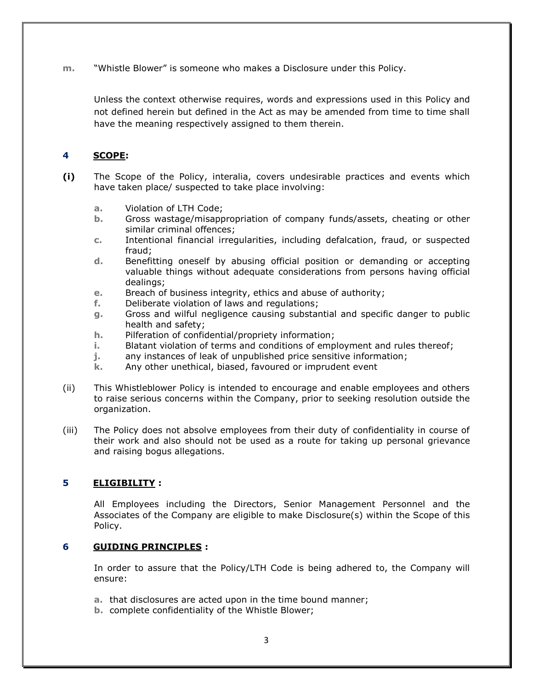**m.** "Whistle Blower" is someone who makes a Disclosure under this Policy.

Unless the context otherwise requires, words and expressions used in this Policy and not defined herein but defined in the Act as may be amended from time to time shall have the meaning respectively assigned to them therein.

# **4 SCOPE:**

- **(i)** The Scope of the Policy, interalia, covers undesirable practices and events which have taken place/ suspected to take place involving:
	- **a.** Violation of LTH Code;
	- **b.** Gross wastage/misappropriation of company funds/assets, cheating or other similar criminal offences;
	- **c.** Intentional financial irregularities, including defalcation, fraud, or suspected fraud;
	- **d.** Benefitting oneself by abusing official position or demanding or accepting valuable things without adequate considerations from persons having official dealings;
	- **e.** Breach of business integrity, ethics and abuse of authority;
	- **f.** Deliberate violation of laws and regulations;
	- **g.** Gross and wilful negligence causing substantial and specific danger to public health and safety;
	- **h.** Pilferation of confidential/propriety information;
	- **i.** Blatant violation of terms and conditions of employment and rules thereof;
	- **j.** any instances of leak of unpublished price sensitive information;
	- **k.** Any other unethical, biased, favoured or imprudent event
- (ii) This Whistleblower Policy is intended to encourage and enable employees and others to raise serious concerns within the Company, prior to seeking resolution outside the organization.
- (iii) The Policy does not absolve employees from their duty of confidentiality in course of their work and also should not be used as a route for taking up personal grievance and raising bogus allegations.

# **5 ELIGIBILITY :**

All Employees including the Directors, Senior Management Personnel and the Associates of the Company are eligible to make Disclosure(s) within the Scope of this Policy.

#### **6 GUIDING PRINCIPLES :**

In order to assure that the Policy/LTH Code is being adhered to, the Company will ensure:

- **a.** that disclosures are acted upon in the time bound manner;
- **b.** complete confidentiality of the Whistle Blower;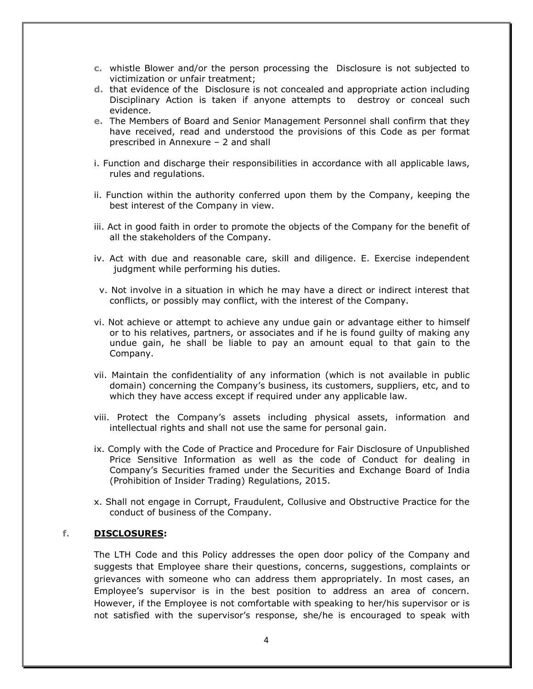- **c.** whistle Blower and/or the person processing the Disclosure is not subjected to victimization or unfair treatment;
- **d.** that evidence of the Disclosure is not concealed and appropriate action including Disciplinary Action is taken if anyone attempts to destroy or conceal such evidence.
- **e.** The Members of Board and Senior Management Personnel shall confirm that they have received, read and understood the provisions of this Code as per format prescribed in Annexure – 2 and shall
- i. Function and discharge their responsibilities in accordance with all applicable laws, rules and regulations.
- ii. Function within the authority conferred upon them by the Company, keeping the best interest of the Company in view.
- iii. Act in good faith in order to promote the objects of the Company for the benefit of all the stakeholders of the Company.
- iv. Act with due and reasonable care, skill and diligence. E. Exercise independent judgment while performing his duties.
- v. Not involve in a situation in which he may have a direct or indirect interest that conflicts, or possibly may conflict, with the interest of the Company.
- vi. Not achieve or attempt to achieve any undue gain or advantage either to himself or to his relatives, partners, or associates and if he is found guilty of making any undue gain, he shall be liable to pay an amount equal to that gain to the Company.
- vii. Maintain the confidentiality of any information (which is not available in public domain) concerning the Company's business, its customers, suppliers, etc, and to which they have access except if required under any applicable law.
- viii. Protect the Company's assets including physical assets, information and intellectual rights and shall not use the same for personal gain.
- ix. Comply with the Code of Practice and Procedure for Fair Disclosure of Unpublished Price Sensitive Information as well as the code of Conduct for dealing in Company's Securities framed under the Securities and Exchange Board of India (Prohibition of Insider Trading) Regulations, 2015.
- x. Shall not engage in Corrupt, Fraudulent, Collusive and Obstructive Practice for the conduct of business of the Company.

#### **f. DISCLOSURES:**

The LTH Code and this Policy addresses the open door policy of the Company and suggests that Employee share their questions, concerns, suggestions, complaints or grievances with someone who can address them appropriately. In most cases, an Employee's supervisor is in the best position to address an area of concern. However, if the Employee is not comfortable with speaking to her/his supervisor or is not satisfied with the supervisor's response, she/he is encouraged to speak with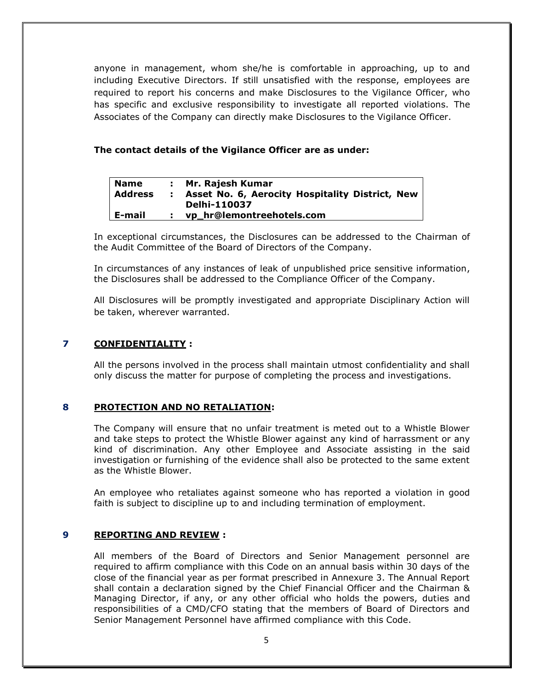anyone in management, whom she/he is comfortable in approaching, up to and including Executive Directors. If still unsatisfied with the response, employees are required to report his concerns and make Disclosures to the Vigilance Officer, who has specific and exclusive responsibility to investigate all reported violations. The Associates of the Company can directly make Disclosures to the Vigilance Officer.

#### **The contact details of the Vigilance Officer are as under:**

| <b>Name</b>    | : Mr. Rajesh Kumar                                |
|----------------|---------------------------------------------------|
| <b>Address</b> | : Asset No. 6, Aerocity Hospitality District, New |
|                | <b>Delhi-110037</b>                               |
| E-mail         | vp_hr@lemontreehotels.com                         |

In exceptional circumstances, the Disclosures can be addressed to the Chairman of the Audit Committee of the Board of Directors of the Company.

In circumstances of any instances of leak of unpublished price sensitive information, the Disclosures shall be addressed to the Compliance Officer of the Company.

All Disclosures will be promptly investigated and appropriate Disciplinary Action will be taken, wherever warranted.

### **7 CONFIDENTIALITY :**

All the persons involved in the process shall maintain utmost confidentiality and shall only discuss the matter for purpose of completing the process and investigations.

#### **8 PROTECTION AND NO RETALIATION:**

The Company will ensure that no unfair treatment is meted out to a Whistle Blower and take steps to protect the Whistle Blower against any kind of harrassment or any kind of discrimination. Any other Employee and Associate assisting in the said investigation or furnishing of the evidence shall also be protected to the same extent as the Whistle Blower.

An employee who retaliates against someone who has reported a violation in good faith is subject to discipline up to and including termination of employment.

#### **9 REPORTING AND REVIEW :**

All members of the Board of Directors and Senior Management personnel are required to affirm compliance with this Code on an annual basis within 30 days of the close of the financial year as per format prescribed in Annexure 3. The Annual Report shall contain a declaration signed by the Chief Financial Officer and the Chairman & Managing Director, if any, or any other official who holds the powers, duties and responsibilities of a CMD/CFO stating that the members of Board of Directors and Senior Management Personnel have affirmed compliance with this Code.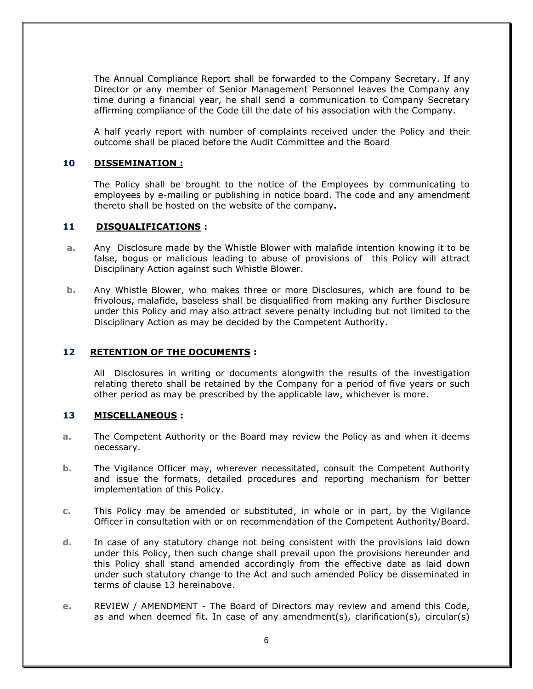The Annual Compliance Report shall be forwarded to the Company Secretary. If any Director or any member of Senior Management Personnel leaves the Company any time during a financial year, he shall send a communication to Company Secretary affirming compliance of the Code till the date of his association with the Company.

A half yearly report with number of complaints received under the Policy and their outcome shall be placed before the Audit Committee and the Board

#### **10 DISSEMINATION :**

The Policy shall be brought to the notice of the Employees by communicating to employees by e-mailing or publishing in notice board. The code and any amendment thereto shall be hosted on the website of the company**.** 

#### **11 DISQUALIFICATIONS :**

- **a.** Any Disclosure made by the Whistle Blower with malafide intention knowing it to be false, bogus or malicious leading to abuse of provisions of this Policy will attract Disciplinary Action against such Whistle Blower.
- **b.** Any Whistle Blower, who makes three or more Disclosures, which are found to be frivolous, malafide, baseless shall be disqualified from making any further Disclosure under this Policy and may also attract severe penalty including but not limited to the Disciplinary Action as may be decided by the Competent Authority.

#### **12 RETENTION OF THE DOCUMENTS :**

All Disclosures in writing or documents alongwith the results of the investigation relating thereto shall be retained by the Company for a period of five years or such other period as may be prescribed by the applicable law, whichever is more.

#### **13 MISCELLANEOUS :**

- **a.** The Competent Authority or the Board may review the Policy as and when it deems necessary.
- **b.** The Vigilance Officer may, wherever necessitated, consult the Competent Authority and issue the formats, detailed procedures and reporting mechanism for better implementation of this Policy.
- **c.** This Policy may be amended or substituted, in whole or in part, by the Vigilance Officer in consultation with or on recommendation of the Competent Authority/Board.
- **d.** In case of any statutory change not being consistent with the provisions laid down under this Policy, then such change shall prevail upon the provisions hereunder and this Policy shall stand amended accordingly from the effective date as laid down under such statutory change to the Act and such amended Policy be disseminated in terms of clause 13 hereinabove.
- **e.** REVIEW / AMENDMENT The Board of Directors may review and amend this Code, as and when deemed fit. In case of any amendment(s), clarification(s), circular(s)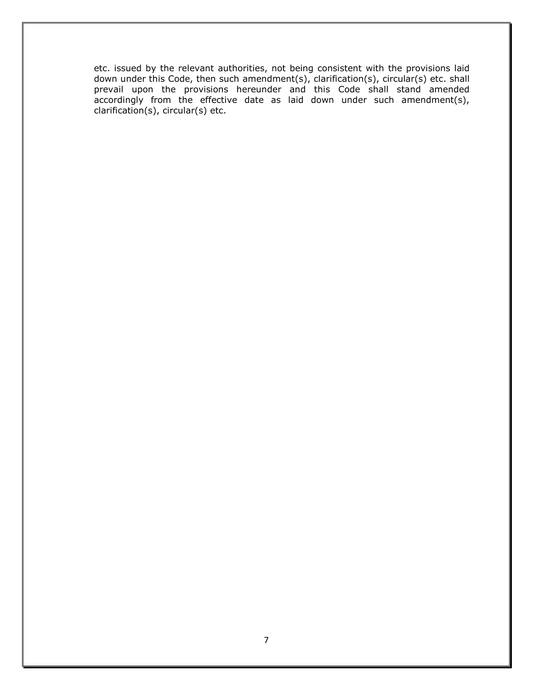etc. issued by the relevant authorities, not being consistent with the provisions laid down under this Code, then such amendment(s), clarification(s), circular(s) etc. shall prevail upon the provisions hereunder and this Code shall stand amended accordingly from the effective date as laid down under such amendment(s), clarification(s), circular(s) etc.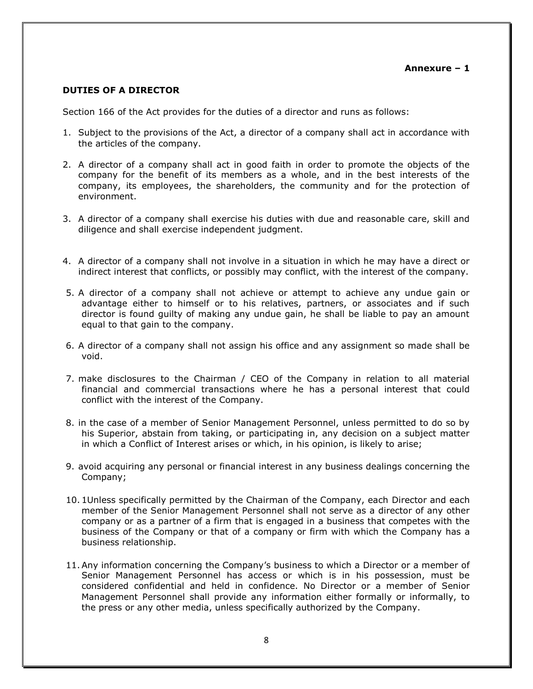#### **DUTIES OF A DIRECTOR**

Section 166 of the Act provides for the duties of a director and runs as follows:

- 1. Subject to the provisions of the Act, a director of a company shall act in accordance with the articles of the company.
- 2. A director of a company shall act in good faith in order to promote the objects of the company for the benefit of its members as a whole, and in the best interests of the company, its employees, the shareholders, the community and for the protection of environment.
- 3. A director of a company shall exercise his duties with due and reasonable care, skill and diligence and shall exercise independent judgment.
- 4. A director of a company shall not involve in a situation in which he may have a direct or indirect interest that conflicts, or possibly may conflict, with the interest of the company.
- 5. A director of a company shall not achieve or attempt to achieve any undue gain or advantage either to himself or to his relatives, partners, or associates and if such director is found guilty of making any undue gain, he shall be liable to pay an amount equal to that gain to the company.
- 6. A director of a company shall not assign his office and any assignment so made shall be void.
- 7. make disclosures to the Chairman / CEO of the Company in relation to all material financial and commercial transactions where he has a personal interest that could conflict with the interest of the Company.
- 8. in the case of a member of Senior Management Personnel, unless permitted to do so by his Superior, abstain from taking, or participating in, any decision on a subject matter in which a Conflict of Interest arises or which, in his opinion, is likely to arise;
- 9. avoid acquiring any personal or financial interest in any business dealings concerning the Company;
- 10. 1Unless specifically permitted by the Chairman of the Company, each Director and each member of the Senior Management Personnel shall not serve as a director of any other company or as a partner of a firm that is engaged in a business that competes with the business of the Company or that of a company or firm with which the Company has a business relationship.
- 11.Any information concerning the Company's business to which a Director or a member of Senior Management Personnel has access or which is in his possession, must be considered confidential and held in confidence. No Director or a member of Senior Management Personnel shall provide any information either formally or informally, to the press or any other media, unless specifically authorized by the Company.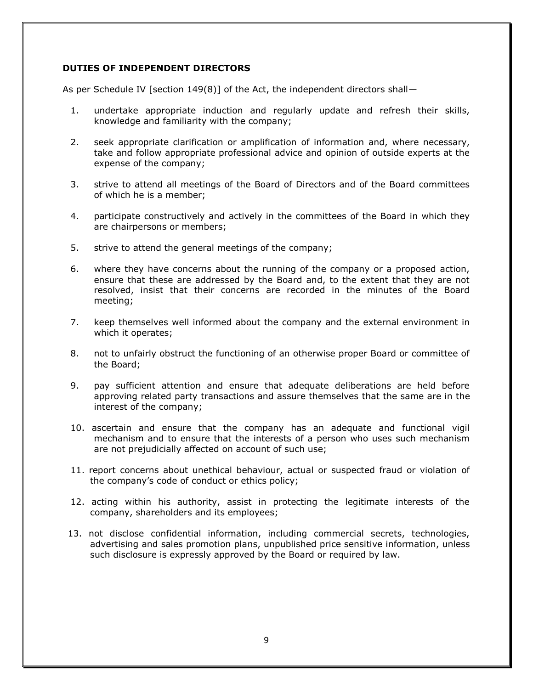#### **DUTIES OF INDEPENDENT DIRECTORS**

As per Schedule IV [section 149(8)] of the Act, the independent directors shall—

- 1. undertake appropriate induction and regularly update and refresh their skills, knowledge and familiarity with the company;
- 2. seek appropriate clarification or amplification of information and, where necessary, take and follow appropriate professional advice and opinion of outside experts at the expense of the company;
- 3. strive to attend all meetings of the Board of Directors and of the Board committees of which he is a member;
- 4. participate constructively and actively in the committees of the Board in which they are chairpersons or members;
- 5. strive to attend the general meetings of the company;
- 6. where they have concerns about the running of the company or a proposed action, ensure that these are addressed by the Board and, to the extent that they are not resolved, insist that their concerns are recorded in the minutes of the Board meeting;
- 7. keep themselves well informed about the company and the external environment in which it operates;
- 8. not to unfairly obstruct the functioning of an otherwise proper Board or committee of the Board;
- 9. pay sufficient attention and ensure that adequate deliberations are held before approving related party transactions and assure themselves that the same are in the interest of the company;
- 10. ascertain and ensure that the company has an adequate and functional vigil mechanism and to ensure that the interests of a person who uses such mechanism are not prejudicially affected on account of such use;
- 11. report concerns about unethical behaviour, actual or suspected fraud or violation of the company's code of conduct or ethics policy;
- 12. acting within his authority, assist in protecting the legitimate interests of the company, shareholders and its employees;
- 13. not disclose confidential information, including commercial secrets, technologies, advertising and sales promotion plans, unpublished price sensitive information, unless such disclosure is expressly approved by the Board or required by law.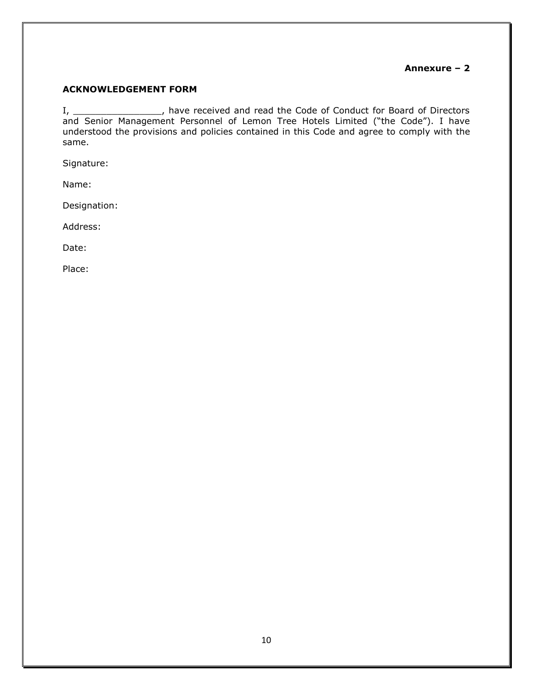#### **Annexure – 2**

#### **ACKNOWLEDGEMENT FORM**

I, \_\_\_\_\_\_\_\_\_\_\_\_\_\_\_\_\_\_, have received and read the Code of Conduct for Board of Directors and Senior Management Personnel of Lemon Tree Hotels Limited ("the Code"). I have understood the provisions and policies contained in this Code and agree to comply with the same.

Signature:

Name:

Designation:

Address:

Date:

Place: